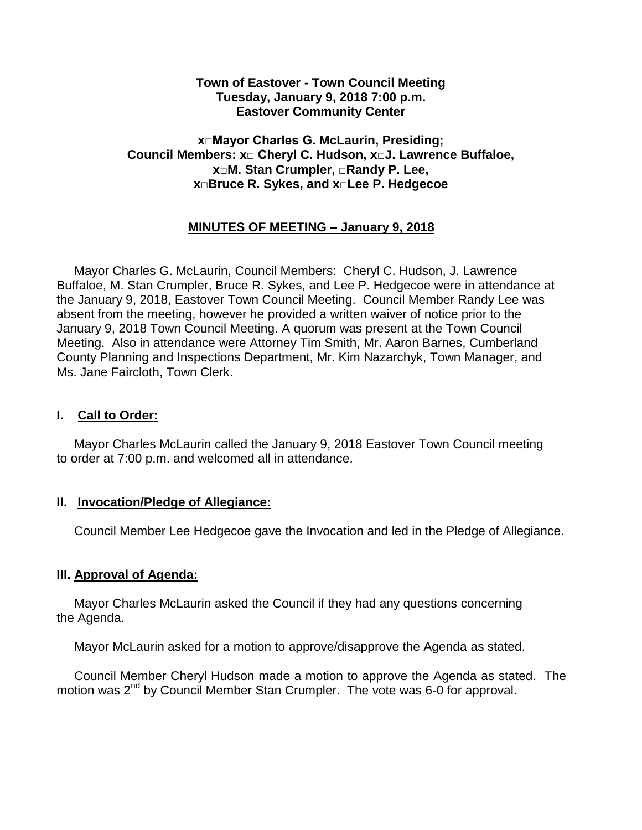#### **Town of Eastover - Town Council Meeting Tuesday, January 9, 2018 7:00 p.m. Eastover Community Center**

#### **x□Mayor Charles G. McLaurin, Presiding; Council Members: x□ Cheryl C. Hudson, x□J. Lawrence Buffaloe, x□M. Stan Crumpler, □Randy P. Lee, x□Bruce R. Sykes, and x□Lee P. Hedgecoe**

## **MINUTES OF MEETING – January 9, 2018**

 Mayor Charles G. McLaurin, Council Members: Cheryl C. Hudson, J. Lawrence Buffaloe, M. Stan Crumpler, Bruce R. Sykes, and Lee P. Hedgecoe were in attendance at the January 9, 2018, Eastover Town Council Meeting. Council Member Randy Lee was absent from the meeting, however he provided a written waiver of notice prior to the January 9, 2018 Town Council Meeting. A quorum was present at the Town Council Meeting. Also in attendance were Attorney Tim Smith, Mr. Aaron Barnes, Cumberland County Planning and Inspections Department, Mr. Kim Nazarchyk, Town Manager, and Ms. Jane Faircloth, Town Clerk.

#### **I. Call to Order:**

 Mayor Charles McLaurin called the January 9, 2018 Eastover Town Council meeting to order at 7:00 p.m. and welcomed all in attendance.

#### **II. Invocation/Pledge of Allegiance:**

Council Member Lee Hedgecoe gave the Invocation and led in the Pledge of Allegiance.

## **III. Approval of Agenda:**

 Mayor Charles McLaurin asked the Council if they had any questions concerning the Agenda.

Mayor McLaurin asked for a motion to approve/disapprove the Agenda as stated.

 Council Member Cheryl Hudson made a motion to approve the Agenda as stated. The motion was 2<sup>nd</sup> by Council Member Stan Crumpler. The vote was 6-0 for approval.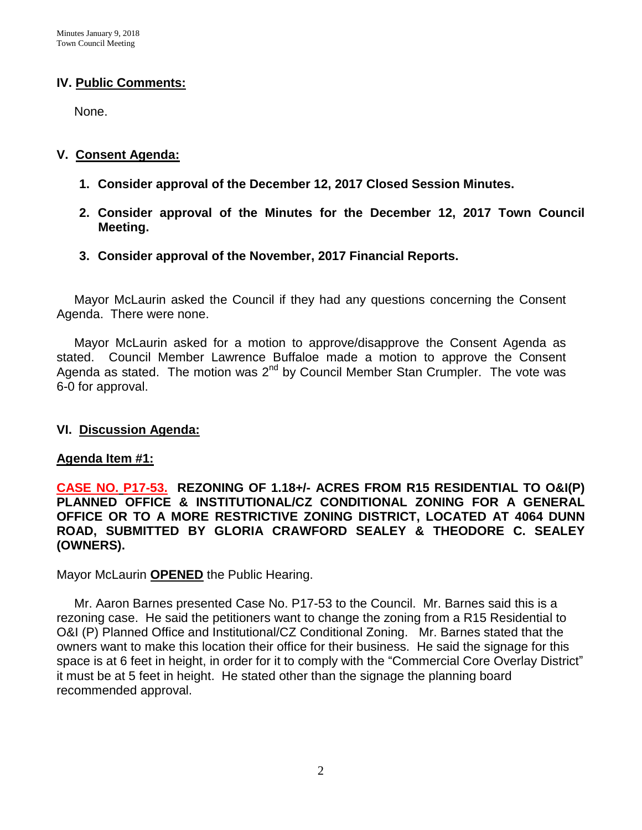#### **IV. Public Comments:**

None.

#### **V. Consent Agenda:**

- **1. Consider approval of the December 12, 2017 Closed Session Minutes.**
- **2. Consider approval of the Minutes for the December 12, 2017 Town Council Meeting.**
- **3. Consider approval of the November, 2017 Financial Reports.**

 Mayor McLaurin asked the Council if they had any questions concerning the Consent Agenda. There were none.

 Mayor McLaurin asked for a motion to approve/disapprove the Consent Agenda as stated. Council Member Lawrence Buffaloe made a motion to approve the Consent Agenda as stated. The motion was  $2<sup>nd</sup>$  by Council Member Stan Crumpler. The vote was 6-0 for approval.

#### **VI. Discussion Agenda:**

#### **Agenda Item #1:**

**CASE NO. P17-53. REZONING OF 1.18+/- ACRES FROM R15 RESIDENTIAL TO O&I(P) PLANNED OFFICE & INSTITUTIONAL/CZ CONDITIONAL ZONING FOR A GENERAL OFFICE OR TO A MORE RESTRICTIVE ZONING DISTRICT, LOCATED AT 4064 DUNN ROAD, SUBMITTED BY GLORIA CRAWFORD SEALEY & THEODORE C. SEALEY (OWNERS).** 

Mayor McLaurin **OPENED** the Public Hearing.

 Mr. Aaron Barnes presented Case No. P17-53 to the Council. Mr. Barnes said this is a rezoning case. He said the petitioners want to change the zoning from a R15 Residential to O&I (P) Planned Office and Institutional/CZ Conditional Zoning. Mr. Barnes stated that the owners want to make this location their office for their business. He said the signage for this space is at 6 feet in height, in order for it to comply with the "Commercial Core Overlay District" it must be at 5 feet in height. He stated other than the signage the planning board recommended approval.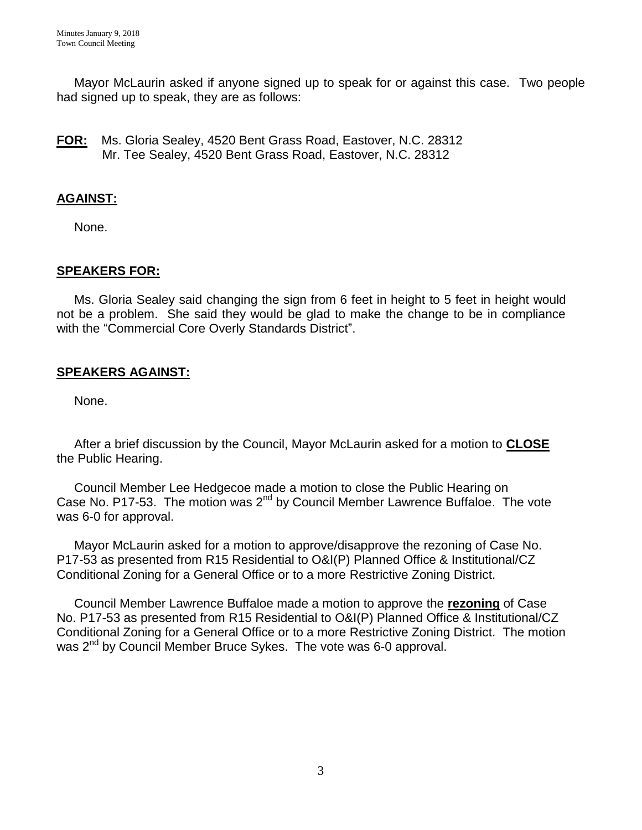Mayor McLaurin asked if anyone signed up to speak for or against this case. Two people had signed up to speak, they are as follows:

**FOR:** Ms. Gloria Sealey, 4520 Bent Grass Road, Eastover, N.C. 28312 Mr. Tee Sealey, 4520 Bent Grass Road, Eastover, N.C. 28312

### **AGAINST:**

None.

#### **SPEAKERS FOR:**

Ms. Gloria Sealey said changing the sign from 6 feet in height to 5 feet in height would not be a problem. She said they would be glad to make the change to be in compliance with the "Commercial Core Overly Standards District".

#### **SPEAKERS AGAINST:**

None.

 After a brief discussion by the Council, Mayor McLaurin asked for a motion to **CLOSE** the Public Hearing.

 Council Member Lee Hedgecoe made a motion to close the Public Hearing on Case No. P17-53. The motion was 2<sup>nd</sup> by Council Member Lawrence Buffaloe. The vote was 6-0 for approval.

 Mayor McLaurin asked for a motion to approve/disapprove the rezoning of Case No. P17-53 as presented from R15 Residential to O&I(P) Planned Office & Institutional/CZ Conditional Zoning for a General Office or to a more Restrictive Zoning District.

 Council Member Lawrence Buffaloe made a motion to approve the **rezoning** of Case No. P17-53 as presented from R15 Residential to O&I(P) Planned Office & Institutional/CZ Conditional Zoning for a General Office or to a more Restrictive Zoning District. The motion was 2<sup>nd</sup> by Council Member Bruce Sykes. The vote was 6-0 approval.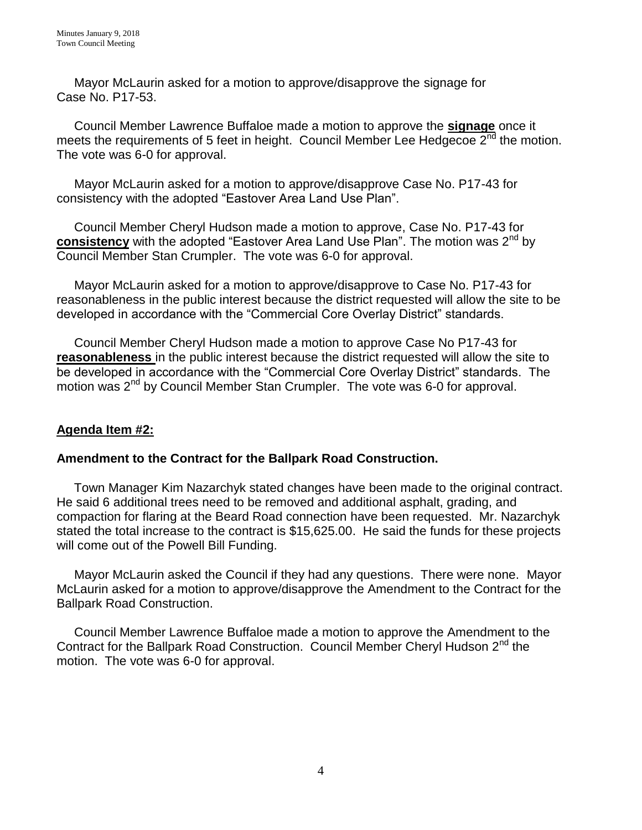Mayor McLaurin asked for a motion to approve/disapprove the signage for Case No. P17-53.

 Council Member Lawrence Buffaloe made a motion to approve the **signage** once it meets the requirements of 5 feet in height. Council Member Lee Hedgecoe  $2^{nd}$  the motion. The vote was 6-0 for approval.

 Mayor McLaurin asked for a motion to approve/disapprove Case No. P17-43 for consistency with the adopted "Eastover Area Land Use Plan".

 Council Member Cheryl Hudson made a motion to approve, Case No. P17-43 for **consistency** with the adopted "Eastover Area Land Use Plan". The motion was 2<sup>nd</sup> by Council Member Stan Crumpler. The vote was 6-0 for approval.

 Mayor McLaurin asked for a motion to approve/disapprove to Case No. P17-43 for reasonableness in the public interest because the district requested will allow the site to be developed in accordance with the "Commercial Core Overlay District" standards.

 Council Member Cheryl Hudson made a motion to approve Case No P17-43 for **reasonableness** in the public interest because the district requested will allow the site to be developed in accordance with the "Commercial Core Overlay District" standards. The motion was 2<sup>nd</sup> by Council Member Stan Crumpler. The vote was 6-0 for approval.

## **Agenda Item #2:**

## **Amendment to the Contract for the Ballpark Road Construction.**

Town Manager Kim Nazarchyk stated changes have been made to the original contract. He said 6 additional trees need to be removed and additional asphalt, grading, and compaction for flaring at the Beard Road connection have been requested. Mr. Nazarchyk stated the total increase to the contract is \$15,625.00. He said the funds for these projects will come out of the Powell Bill Funding.

 Mayor McLaurin asked the Council if they had any questions. There were none. Mayor McLaurin asked for a motion to approve/disapprove the Amendment to the Contract for the Ballpark Road Construction.

 Council Member Lawrence Buffaloe made a motion to approve the Amendment to the Contract for the Ballpark Road Construction. Council Member Cheryl Hudson 2<sup>nd</sup> the motion. The vote was 6-0 for approval.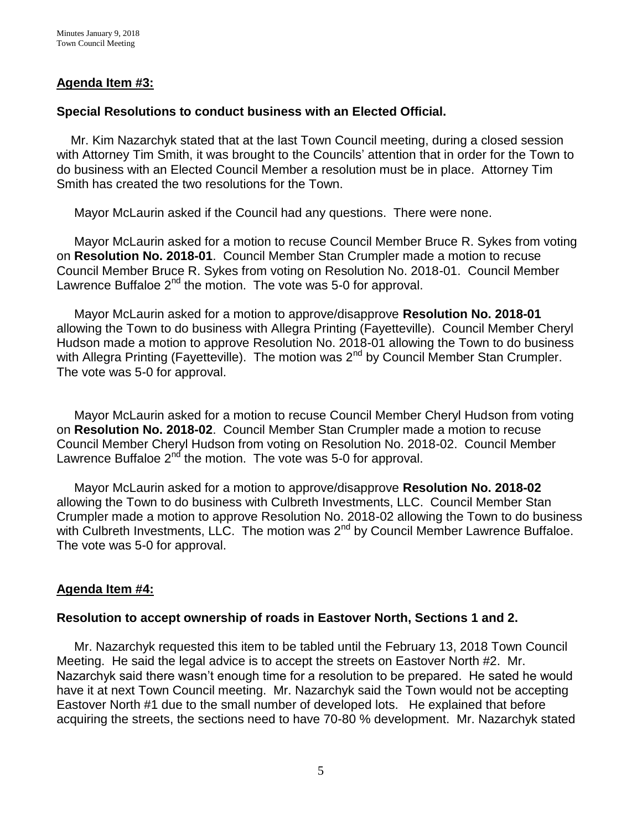#### **Agenda Item #3:**

#### **Special Resolutions to conduct business with an Elected Official.**

Mr. Kim Nazarchyk stated that at the last Town Council meeting, during a closed session with Attorney Tim Smith, it was brought to the Councils' attention that in order for the Town to do business with an Elected Council Member a resolution must be in place. Attorney Tim Smith has created the two resolutions for the Town.

Mayor McLaurin asked if the Council had any questions. There were none.

 Mayor McLaurin asked for a motion to recuse Council Member Bruce R. Sykes from voting on **Resolution No. 2018-01**. Council Member Stan Crumpler made a motion to recuse Council Member Bruce R. Sykes from voting on Resolution No. 2018-01. Council Member Lawrence Buffaloe  $2^{nd}$  the motion. The vote was 5-0 for approval.

 Mayor McLaurin asked for a motion to approve/disapprove **Resolution No. 2018-01** allowing the Town to do business with Allegra Printing (Fayetteville). Council Member Cheryl Hudson made a motion to approve Resolution No. 2018-01 allowing the Town to do business with Allegra Printing (Fayetteville). The motion was 2<sup>nd</sup> by Council Member Stan Crumpler. The vote was 5-0 for approval.

 Mayor McLaurin asked for a motion to recuse Council Member Cheryl Hudson from voting on **Resolution No. 2018-02**. Council Member Stan Crumpler made a motion to recuse Council Member Cheryl Hudson from voting on Resolution No. 2018-02. Council Member Lawrence Buffaloe  $2^{nd}$  the motion. The vote was 5-0 for approval.

 Mayor McLaurin asked for a motion to approve/disapprove **Resolution No. 2018-02** allowing the Town to do business with Culbreth Investments, LLC. Council Member Stan Crumpler made a motion to approve Resolution No. 2018-02 allowing the Town to do business with Culbreth Investments, LLC. The motion was 2<sup>nd</sup> by Council Member Lawrence Buffaloe. The vote was 5-0 for approval.

#### **Agenda Item #4:**

#### **Resolution to accept ownership of roads in Eastover North, Sections 1 and 2.**

Mr. Nazarchyk requested this item to be tabled until the February 13, 2018 Town Council Meeting. He said the legal advice is to accept the streets on Eastover North #2. Mr. Nazarchyk said there wasn't enough time for a resolution to be prepared. He sated he would have it at next Town Council meeting. Mr. Nazarchyk said the Town would not be accepting Eastover North #1 due to the small number of developed lots. He explained that before acquiring the streets, the sections need to have 70-80 % development. Mr. Nazarchyk stated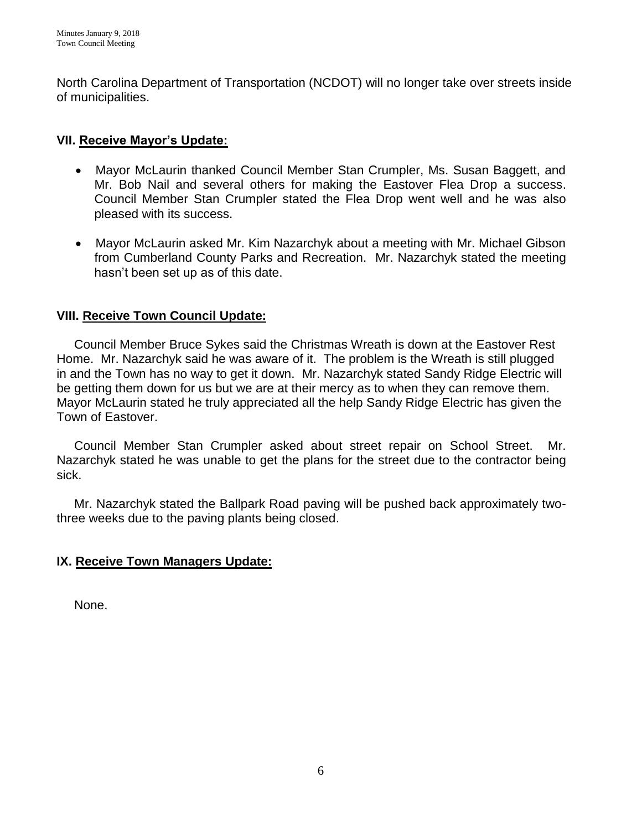North Carolina Department of Transportation (NCDOT) will no longer take over streets inside of municipalities.

## **VII. Receive Mayor's Update:**

- Mayor McLaurin thanked Council Member Stan Crumpler, Ms. Susan Baggett, and Mr. Bob Nail and several others for making the Eastover Flea Drop a success. Council Member Stan Crumpler stated the Flea Drop went well and he was also pleased with its success.
- Mayor McLaurin asked Mr. Kim Nazarchyk about a meeting with Mr. Michael Gibson from Cumberland County Parks and Recreation. Mr. Nazarchyk stated the meeting hasn't been set up as of this date.

## **VIII. Receive Town Council Update:**

 Council Member Bruce Sykes said the Christmas Wreath is down at the Eastover Rest Home. Mr. Nazarchyk said he was aware of it. The problem is the Wreath is still plugged in and the Town has no way to get it down. Mr. Nazarchyk stated Sandy Ridge Electric will be getting them down for us but we are at their mercy as to when they can remove them. Mayor McLaurin stated he truly appreciated all the help Sandy Ridge Electric has given the Town of Eastover.

 Council Member Stan Crumpler asked about street repair on School Street. Mr. Nazarchyk stated he was unable to get the plans for the street due to the contractor being sick.

 Mr. Nazarchyk stated the Ballpark Road paving will be pushed back approximately twothree weeks due to the paving plants being closed.

#### **IX. Receive Town Managers Update:**

None.